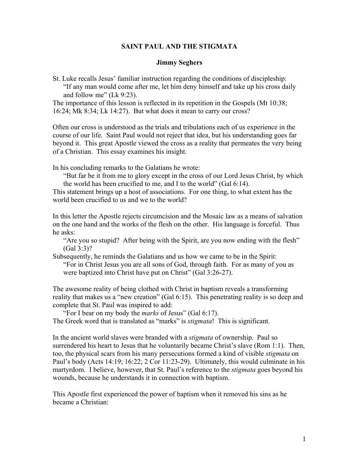## **SAINT PAUL AND THE STIGMATA**

## **Jimmy Seghers**

St. Luke recalls Jesus' familiar instruction regarding the conditions of discipleship: "If any man would come after me, let him deny himself and take up his cross daily and follow me" (Lk 9:23).

The importance of this lesson is reflected in its repetition in the Gospels (Mt 10:38; 16:24; Mk 8:34; Lk 14:27). But what does it mean to carry our cross?

Often our cross is understood as the trials and tribulations each of us experience in the course of our life. Saint Paul would not reject that idea, but his understanding goes far beyond it. This great Apostle viewed the cross as a reality that permeates the very being of a Christian. This essay examines his insight.

In his concluding remarks to the Galatians he wrote:

"But far be it from me to glory except in the cross of our Lord Jesus Christ, by which the world has been crucified to me, and I to the world" (Gal 6:14).

This statement brings up a host of associations. For one thing, to what extent has the world been crucified to us and we to the world?

In this letter the Apostle rejects circumcision and the Mosaic law as a means of salvation on the one hand and the works of the flesh on the other. His language is forceful. Thus he asks:

"Are you so stupid? After being with the Spirit, are you now ending with the flesh" (Gal 3:3)?

Subsequently, he reminds the Galatians and us how we came to be in the Spirit:

"For in Christ Jesus you are all sons of God, through faith. For as many of you as were baptized into Christ have put on Christ" (Gal 3:26-27).

The awesome reality of being clothed with Christ in baptism reveals a transforming reality that makes us a "new creation" (Gal 6:15). This penetrating reality is so deep and complete that St. Paul was inspired to add:

"For I bear on my body the *marks* of Jesus" (Gal 6:17).

The Greek word that is translated as "marks" is *stigmata*! This is significant.

In the ancient world slaves were branded with a *stigmata* of ownership. Paul so surrendered his heart to Jesus that he voluntarily became Christ's slave (Rom 1:1). Then, too, the physical scars from his many persecutions formed a kind of visible *stigmata* on Paul's body (Acts 14:19; 16:22; 2 Cor 11:23-29). Ultimately, this would culminate in his martyrdom. I believe, however, that St. Paul's reference to the *stigmata* goes beyond his wounds, because he understands it in connection with baptism.

This Apostle first experienced the power of baptism when it removed his sins as he became a Christian: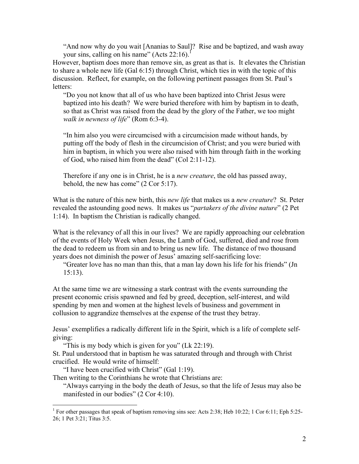"And now why do you wait [Ananias to Saul]? Rise and be baptized, and wash away your sins, calling on his name" (Acts  $22:16$  $22:16$  $22:16$ ).<sup>1</sup>

However, baptism does more than remove sin, as great as that is. It elevates the Christian to share a whole new life (Gal 6:15) through Christ, which ties in with the topic of this discussion. Reflect, for example, on the following pertinent passages from St. Paul's letters:

"Do you not know that all of us who have been baptized into Christ Jesus were baptized into his death? We were buried therefore with him by baptism in to death, so that as Christ was raised from the dead by the glory of the Father, we too might *walk in newness of life*" (Rom 6:3-4).

"In him also you were circumcised with a circumcision made without hands, by putting off the body of flesh in the circumcision of Christ; and you were buried with him in baptism, in which you were also raised with him through faith in the working of God, who raised him from the dead" (Col 2:11-12).

Therefore if any one is in Christ, he is a *new creature*, the old has passed away, behold, the new has come" (2 Cor 5:17).

What is the nature of this new birth, this *new life* that makes us a *new creature*? St. Peter revealed the astounding good news. It makes us "*partakers of the divine nature*" (2 Pet 1:14). In baptism the Christian is radically changed.

What is the relevancy of all this in our lives? We are rapidly approaching our celebration of the events of Holy Week when Jesus, the Lamb of God, suffered, died and rose from the dead to redeem us from sin and to bring us new life. The distance of two thousand years does not diminish the power of Jesus' amazing self-sacrificing love:

"Greater love has no man than this, that a man lay down his life for his friends" (Jn 15:13).

At the same time we are witnessing a stark contrast with the events surrounding the present economic crisis spawned and fed by greed, deception, self-interest, and wild spending by men and women at the highest levels of business and government in collusion to aggrandize themselves at the expense of the trust they betray.

Jesus' exemplifies a radically different life in the Spirit, which is a life of complete selfgiving:

"This is my body which is given for you" (Lk 22:19).

St. Paul understood that in baptism he was saturated through and through with Christ crucified. He would write of himself:

"I have been crucified with Christ" (Gal 1:19).

Then writing to the Corinthians he wrote that Christians are:

"Always carrying in the body the death of Jesus, so that the life of Jesus may also be manifested in our bodies" (2 Cor 4:10).

<span id="page-1-0"></span><sup>&</sup>lt;sup>1</sup> For other passages that speak of baptism removing sins see: Acts 2:38; Heb 10:22; 1 Cor 6:11; Eph 5:25-26; 1 Pet 3:21; Titus 3:5.